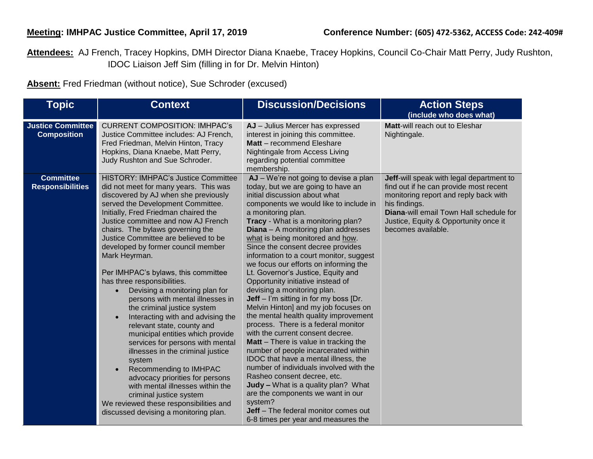**Attendees:** AJ French, Tracey Hopkins, DMH Director Diana Knaebe, Tracey Hopkins, Council Co-Chair Matt Perry, Judy Rushton, IDOC Liaison Jeff Sim (filling in for Dr. Melvin Hinton)

**Absent:** Fred Friedman (without notice), Sue Schroder (excused)

| <b>Topic</b>                                   | <b>Context</b>                                                                                                                                                                                                                                                                                                                                                                                                                                                                                                                                                                                                                                                                                                                                                                                                                                                                                                                                                                      | <b>Discussion/Decisions</b>                                                                                                                                                                                                                                                                                                                                                                                                                                                                                                                                                                                                                                                                                                                                                                                                                                                                                                                                                                                                                                                                                                   | <b>Action Steps</b><br>(include who does what)                                                                                                                                                                                                                |
|------------------------------------------------|-------------------------------------------------------------------------------------------------------------------------------------------------------------------------------------------------------------------------------------------------------------------------------------------------------------------------------------------------------------------------------------------------------------------------------------------------------------------------------------------------------------------------------------------------------------------------------------------------------------------------------------------------------------------------------------------------------------------------------------------------------------------------------------------------------------------------------------------------------------------------------------------------------------------------------------------------------------------------------------|-------------------------------------------------------------------------------------------------------------------------------------------------------------------------------------------------------------------------------------------------------------------------------------------------------------------------------------------------------------------------------------------------------------------------------------------------------------------------------------------------------------------------------------------------------------------------------------------------------------------------------------------------------------------------------------------------------------------------------------------------------------------------------------------------------------------------------------------------------------------------------------------------------------------------------------------------------------------------------------------------------------------------------------------------------------------------------------------------------------------------------|---------------------------------------------------------------------------------------------------------------------------------------------------------------------------------------------------------------------------------------------------------------|
| <b>Justice Committee</b><br><b>Composition</b> | <b>CURRENT COMPOSITION: IMHPAC's</b><br>Justice Committee includes: AJ French,<br>Fred Friedman, Melvin Hinton, Tracy<br>Hopkins, Diana Knaebe, Matt Perry,<br>Judy Rushton and Sue Schroder.                                                                                                                                                                                                                                                                                                                                                                                                                                                                                                                                                                                                                                                                                                                                                                                       | AJ - Julius Mercer has expressed<br>interest in joining this committee.<br>Matt - recommend Eleshare<br>Nightingale from Access Living<br>regarding potential committee<br>membership.                                                                                                                                                                                                                                                                                                                                                                                                                                                                                                                                                                                                                                                                                                                                                                                                                                                                                                                                        | Matt-will reach out to Eleshar<br>Nightingale.                                                                                                                                                                                                                |
| <b>Committee</b><br><b>Responsibilities</b>    | <b>HISTORY: IMHPAC's Justice Committee</b><br>did not meet for many years. This was<br>discovered by AJ when she previously<br>served the Development Committee.<br>Initially, Fred Friedman chaired the<br>Justice committee and now AJ French<br>chairs. The bylaws governing the<br>Justice Committee are believed to be<br>developed by former council member<br>Mark Heyrman.<br>Per IMHPAC's bylaws, this committee<br>has three responsibilities.<br>Devising a monitoring plan for<br>$\bullet$<br>persons with mental illnesses in<br>the criminal justice system<br>Interacting with and advising the<br>relevant state, county and<br>municipal entities which provide<br>services for persons with mental<br>illnesses in the criminal justice<br>system<br>Recommending to IMHPAC<br>advocacy priorities for persons<br>with mental illnesses within the<br>criminal justice system<br>We reviewed these responsibilities and<br>discussed devising a monitoring plan. | AJ - We're not going to devise a plan<br>today, but we are going to have an<br>initial discussion about what<br>components we would like to include in<br>a monitoring plan.<br>Tracy - What is a monitoring plan?<br>Diana - A monitoring plan addresses<br>what is being monitored and how.<br>Since the consent decree provides<br>information to a court monitor, suggest<br>we focus our efforts on informing the<br>Lt. Governor's Justice, Equity and<br>Opportunity initiative instead of<br>devising a monitoring plan.<br><b>Jeff</b> – I'm sitting in for my boss [Dr.<br>Melvin Hinton] and my job focuses on<br>the mental health quality improvement<br>process. There is a federal monitor<br>with the current consent decree.<br>Matt - There is value in tracking the<br>number of people incarcerated within<br>IDOC that have a mental illness, the<br>number of individuals involved with the<br>Rasheo consent decree, etc.<br>Judy - What is a quality plan? What<br>are the components we want in our<br>system?<br><b>Jeff</b> – The federal monitor comes out<br>6-8 times per year and measures the | Jeff-will speak with legal department to<br>find out if he can provide most recent<br>monitoring report and reply back with<br>his findings.<br><b>Diana-will email Town Hall schedule for</b><br>Justice, Equity & Opportunity once it<br>becomes available. |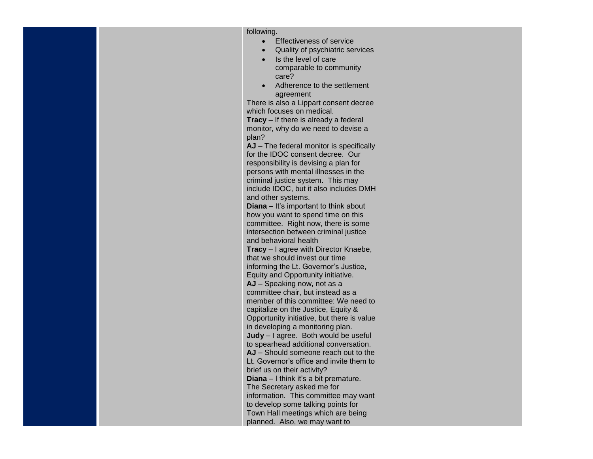| following.                                                          |  |  |
|---------------------------------------------------------------------|--|--|
| <b>Effectiveness of service</b>                                     |  |  |
| Quality of psychiatric services                                     |  |  |
| Is the level of care                                                |  |  |
| comparable to community                                             |  |  |
| care?                                                               |  |  |
| Adherence to the settlement                                         |  |  |
| agreement                                                           |  |  |
| There is also a Lippart consent decree                              |  |  |
| which focuses on medical.                                           |  |  |
| <b>Tracy</b> – If there is already a federal                        |  |  |
| monitor, why do we need to devise a<br>plan?                        |  |  |
| AJ - The federal monitor is specifically                            |  |  |
| for the IDOC consent decree. Our                                    |  |  |
| responsibility is devising a plan for                               |  |  |
| persons with mental illnesses in the                                |  |  |
| criminal justice system. This may                                   |  |  |
| include IDOC, but it also includes DMH                              |  |  |
| and other systems.                                                  |  |  |
| <b>Diana</b> - It's important to think about                        |  |  |
| how you want to spend time on this                                  |  |  |
| committee. Right now, there is some                                 |  |  |
| intersection between criminal justice                               |  |  |
| and behavioral health                                               |  |  |
| Tracy - I agree with Director Knaebe,                               |  |  |
| that we should invest our time                                      |  |  |
| informing the Lt. Governor's Justice,                               |  |  |
| Equity and Opportunity initiative.<br>AJ - Speaking now, not as a   |  |  |
| committee chair, but instead as a                                   |  |  |
| member of this committee: We need to                                |  |  |
| capitalize on the Justice, Equity &                                 |  |  |
| Opportunity initiative, but there is value                          |  |  |
| in developing a monitoring plan.                                    |  |  |
| Judy - I agree. Both would be useful                                |  |  |
| to spearhead additional conversation.                               |  |  |
| AJ - Should someone reach out to the                                |  |  |
| Lt. Governor's office and invite them to                            |  |  |
| brief us on their activity?                                         |  |  |
| Diana - I think it's a bit premature.                               |  |  |
| The Secretary asked me for                                          |  |  |
| information. This committee may want                                |  |  |
| to develop some talking points for                                  |  |  |
| Town Hall meetings which are being<br>planned. Also, we may want to |  |  |
|                                                                     |  |  |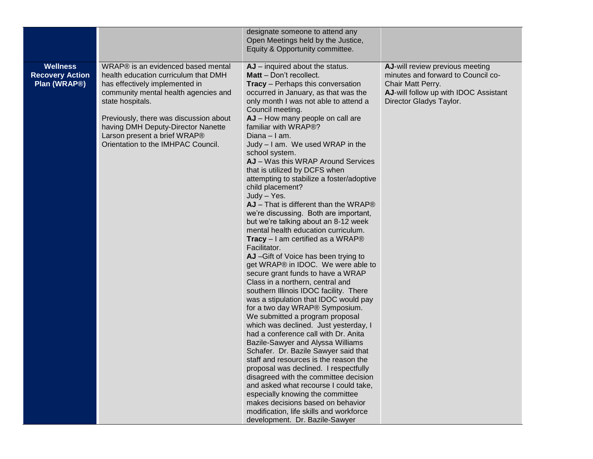|                                                           |                                                                                                                                                                                                                                                                                                                                | designate someone to attend any<br>Open Meetings held by the Justice,<br>Equity & Opportunity committee.                                                                                                                                                                                                                                                                                                                                                                                                                                                                                                                                                                                                                                                                                                                                                                                                                                                                                                                                                                                                                                                                                                                                                                                                                                                                                                                                                                                                                                                     |                                                                                                                                                                |
|-----------------------------------------------------------|--------------------------------------------------------------------------------------------------------------------------------------------------------------------------------------------------------------------------------------------------------------------------------------------------------------------------------|--------------------------------------------------------------------------------------------------------------------------------------------------------------------------------------------------------------------------------------------------------------------------------------------------------------------------------------------------------------------------------------------------------------------------------------------------------------------------------------------------------------------------------------------------------------------------------------------------------------------------------------------------------------------------------------------------------------------------------------------------------------------------------------------------------------------------------------------------------------------------------------------------------------------------------------------------------------------------------------------------------------------------------------------------------------------------------------------------------------------------------------------------------------------------------------------------------------------------------------------------------------------------------------------------------------------------------------------------------------------------------------------------------------------------------------------------------------------------------------------------------------------------------------------------------------|----------------------------------------------------------------------------------------------------------------------------------------------------------------|
| <b>Wellness</b><br><b>Recovery Action</b><br>Plan (WRAP®) | WRAP® is an evidenced based mental<br>health education curriculum that DMH<br>has effectively implemented in<br>community mental health agencies and<br>state hospitals.<br>Previously, there was discussion about<br>having DMH Deputy-Director Nanette<br>Larson present a brief WRAP®<br>Orientation to the IMHPAC Council. | $AJ$ – inquired about the status.<br>Matt - Don't recollect.<br><b>Tracy</b> - Perhaps this conversation<br>occurred in January, as that was the<br>only month I was not able to attend a<br>Council meeting.<br>AJ - How many people on call are<br>familiar with WRAP®?<br>Diana – I am.<br>Judy - I am. We used WRAP in the<br>school system.<br>AJ - Was this WRAP Around Services<br>that is utilized by DCFS when<br>attempting to stabilize a foster/adoptive<br>child placement?<br>Judy - Yes.<br>$AJ$ – That is different than the WRAP $@$<br>we're discussing. Both are important,<br>but we're talking about an 8-12 week<br>mental health education curriculum.<br><b>Tracy</b> $-1$ am certified as a WRAP <sup>®</sup><br>Facilitator.<br>AJ-Gift of Voice has been trying to<br>get WRAP® in IDOC. We were able to<br>secure grant funds to have a WRAP<br>Class in a northern, central and<br>southern Illinois IDOC facility. There<br>was a stipulation that IDOC would pay<br>for a two day WRAP® Symposium.<br>We submitted a program proposal<br>which was declined. Just yesterday, I<br>had a conference call with Dr. Anita<br>Bazile-Sawyer and Alyssa Williams<br>Schafer. Dr. Bazile Sawyer said that<br>staff and resources is the reason the<br>proposal was declined. I respectfully<br>disagreed with the committee decision<br>and asked what recourse I could take,<br>especially knowing the committee<br>makes decisions based on behavior<br>modification, life skills and workforce<br>development. Dr. Bazile-Sawyer | AJ-will review previous meeting<br>minutes and forward to Council co-<br>Chair Matt Perry.<br>AJ-will follow up with IDOC Assistant<br>Director Gladys Taylor. |